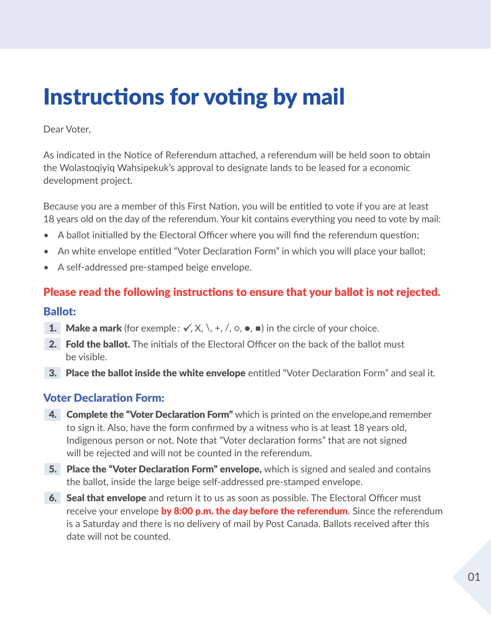## Instructions for voting by mail

Dear Voter,

As indicated in the Notice of Referendum attached, a referendum will be held soon to obtain the Wolastoqiyiq Wahsipekuk's approval to designate lands to be leased for a economic development project.

Because you are a member of this First Nation, you will be entitled to vote if you are at least 18 years old on the day of the referendum. Your kit contains everything you need to vote by mail:

- A ballot initialled by the Electoral Officer where you will find the referendum question;
- An white envelope entitled "Voter Declaration Form" in which you will place your ballot;
- A self-addressed pre-stamped beige envelope.

## Please read the following instructions to ensure that your ballot is not rejected. Ballot:

- 
- **1.** Make a mark (for exemple:  $\checkmark$ ,  $X$ ,  $\checkmark$ ,  $+$ ,  $\checkmark$ ,  $\circ$ ,  $\bullet$ ,  $\bullet$ ) in the circle of your choice.
- 2. Fold the ballot. The initials of the Electoral Officer on the back of the ballot must be visible.
- **3. Place the ballot inside the white envelope** entitled "Voter Declaration Form" and seal it.

## Voter Declaration Form:

- 4. Complete the "Voter Declaration Form" which is printed on the envelope,and remember to sign it. Also, have the form confirmed by a witness who is at least 18 years old, Indigenous person or not. Note that "Voter declaration forms" that are not signed will be rejected and will not be counted in the referendum.
- 5. Place the "Voter Declaration Form" envelope, which is signed and sealed and contains the ballot, inside the large beige self-addressed pre-stamped envelope.
- **6.** Seal that envelope and return it to us as soon as possible. The Electoral Officer must receive your envelope by 8:00 p.m. the day before the referendum. Since the referendum is a Saturday and there is no delivery of mail by Post Canada. Ballots received after this date will not be counted.